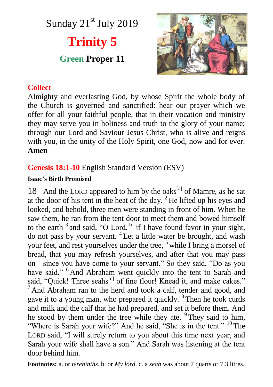Sunday 21<sup>st</sup> July 2019

# **Trinity 5**

## **Green Proper 11**



## **Collect**

Almighty and everlasting God, by whose Spirit the whole body of the Church is governed and sanctified: hear our prayer which we offer for all your faithful people, that in their vocation and ministry they may serve you in holiness and truth to the glory of your name; through our Lord and Saviour Jesus Christ, who is alive and reigns with you, in the unity of the Holy Spirit, one God, now and for ever. **Amen**

## **Genesis 18:1-10** English Standard Version (ESV)

#### **Isaac's Birth Promised**

 $18<sup>1</sup>$  And the LORD appeared to him by the oaks<sup>[a]</sup> of Mamre, as he sat at the door of his tent in the heat of the day.  ${}^{2}$  He lifted up his eyes and looked, and behold, three men were standing in front of him. When he saw them, he ran from the tent door to meet them and bowed himself to the earth  $3$  and said, "O Lord,  $^{[b]}$  if I have found favor in your sight, do not pass by your servant. <sup>4</sup> Let a little water be brought, and wash your feet, and rest yourselves under the tree, <sup>5</sup> while I bring a morsel of bread, that you may refresh yourselves, and after that you may pass on—since you have come to your servant." So they said, "Do as you have said." <sup>6</sup> And Abraham went quickly into the tent to Sarah and said, "Quick! Three seahs<sup>[c]</sup> of fine flour! Knead it, and make cakes."  $<sup>7</sup>$  And Abraham ran to the herd and took a calf, tender and good, and</sup> gave it to a young man, who prepared it quickly. <sup>8</sup> Then he took curds and milk and the calf that he had prepared, and set it before them. And he stood by them under the tree while they ate. <sup>9</sup> They said to him, "Where is Sarah your wife?" And he said, "She is in the tent." <sup>10</sup> The LORD said, "I will surely return to you about this time next year, and Sarah your wife shall have a son." And Sarah was listening at the tent door behind him.

**Footnotes:** a. or *terebinths*. b. or *My lord*. c. a *seah* was about 7 quarts or 7.3 litres.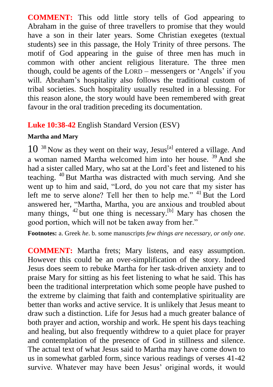**COMMENT:** This odd little story tells of God appearing to Abraham in the guise of three travellers to promise that they would have a son in their later years. Some Christian exegetes (textual students) see in this passage, the Holy Trinity of three persons. The motif of God appearing in the guise of three men has much in common with other ancient religious literature. The three men though, could be agents of the LORD – messengers or 'Angels' if you will. Abraham's hospitality also follows the traditional custom of tribal societies. Such hospitality usually resulted in a blessing. For this reason alone, the story would have been remembered with great favour in the oral tradition preceding its documentation.

## **Luke 10:38-42** English Standard Version (ESV)

#### **Martha and Mary**

 $10^{-38}$  Now as they went on their way, Jesus<sup>[a]</sup> entered a village. And a woman named Martha welcomed him into her house. <sup>39</sup> And she had a sister called Mary, who sat at the Lord's feet and listened to his teaching. <sup>40</sup> But Martha was distracted with much serving. And she went up to him and said, "Lord, do you not care that my sister has left me to serve alone? Tell her then to help me." <sup>41</sup> But the Lord answered her, "Martha, Martha, you are anxious and troubled about many things,  $42$  but one thing is necessary.<sup>[b]</sup> Mary has chosen the good portion, which will not be taken away from her."

**Footnotes:** a. Greek *he*. b. some manuscripts *few things are necessary, or only one*.

**COMMENT:** Martha frets; Mary listens, and easy assumption. However this could be an over-simplification of the story. Indeed Jesus does seem to rebuke Martha for her task-driven anxiety and to praise Mary for sitting as his feet listening to what he said. This has been the traditional interpretation which some people have pushed to the extreme by claiming that faith and contemplative spirituality are better than works and active service. It is unlikely that Jesus meant to draw such a distinction. Life for Jesus had a much greater balance of both prayer and action, worship and work. He spent his days teaching and healing, but also frequently withdrew to a quiet place for prayer and contemplation of the presence of God in stillness and silence. The actual text of what Jesus said to Martha may have come down to us in somewhat garbled form, since various readings of verses 41-42 survive. Whatever may have been Jesus' original words, it would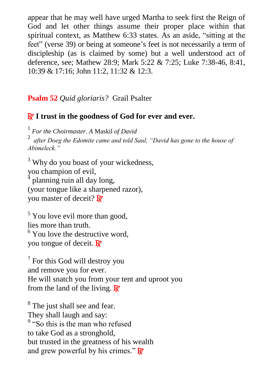appear that he may well have urged Martha to seek first the Reign of God and let other things assume their proper place within that spiritual context, as Matthew 6:33 states. As an aside, "sitting at the feet" (verse 39) or being at someone's feet is not necessarily a term of discipleship (as is claimed by some) but a well understood act of deference, see; Mathew 28:9; Mark 5:22 & 7:25; Luke 7:38-46, 8:41, 10:39 & 17:16; John 11:2, 11:32 & 12:3.

## **Psalm 52** *Quid gloriaris?* Grail Psalter

## R **I trust in the goodness of God for ever and ever.**

1 *For the Choirmaster. A* Maskil *of David* 

2 *after Doeg the Edomite came and told Saul, "David has gone to the house of Abimeleck."*

<sup>3</sup> Why do you boast of your wickedness, you champion of evil, planning ruin all day long, (your tongue like a sharpened razor), you master of deceit?  $\mathbf{\mathbb{R}}$ 

 $<sup>5</sup>$  You love evil more than good.</sup> lies more than truth.  $6$  You love the destructive word, you tongue of deceit.  $\mathbf{R}$ 

 $7$  For this God will destroy you and remove you for ever. He will snatch you from your tent and uproot you from the land of the living.  $\mathbb{R}^7$ 

<sup>8</sup> The just shall see and fear. They shall laugh and say: <sup>9</sup> "So this is the man who refused to take God as a stronghold, but trusted in the greatness of his wealth and grew powerful by his crimes."  $\mathbf{\overline{R}}$